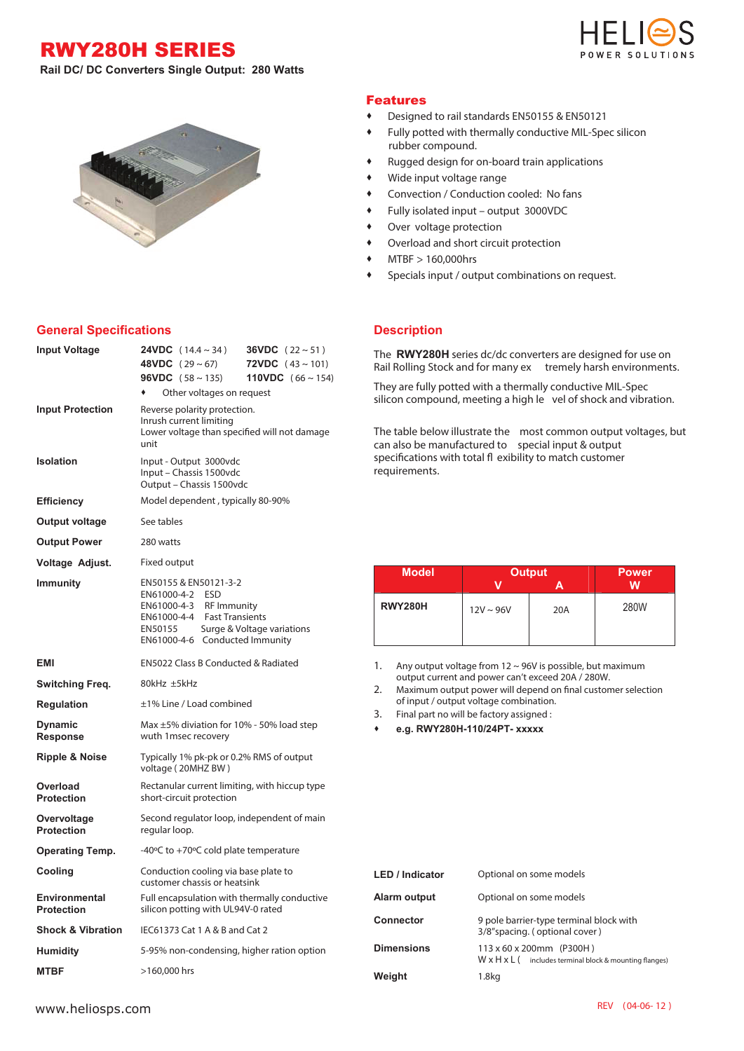RWY280H SERIES



**Rail DC/ DC Converters Single Output: 280 Watts** 



## Features

- Designed to rail standards EN50155 & EN50121
- Fully potted with thermally conductive MIL-Spec silicon rubber compound.
- Rugged design for on-board train applications
- Wide input voltage range
- Convection / Conduction cooled: No fans
- Fully isolated input output 3000VDC
- Over voltage protection
- Overload and short circuit protection
- MTBF > 160,000hrs
- Specials input / output combinations on request.

## **General Specifications**

| <b>Input Voltage</b>                      | <b>24VDC</b> $(14.4 \sim 34)$<br><b>36VDC</b> $(22 \sim 51)$<br><b>48VDC</b> $(29 \sim 67)$<br><b>72VDC</b> $(43 \sim 101)$<br><b>96VDC</b> $(58 \sim 135)$<br><b>110VDC</b> $(66 \sim 154)$<br>Other voltages on request |  |  |
|-------------------------------------------|---------------------------------------------------------------------------------------------------------------------------------------------------------------------------------------------------------------------------|--|--|
| <b>Input Protection</b>                   | Reverse polarity protection.<br>Inrush current limiting<br>Lower voltage than specified will not damage<br>unit                                                                                                           |  |  |
| <b>Isolation</b>                          | Input - Output 3000vdc<br>Input - Chassis 1500vdc<br>Output - Chassis 1500vdc                                                                                                                                             |  |  |
| <b>Efficiency</b>                         | Model dependent, typically 80-90%                                                                                                                                                                                         |  |  |
| <b>Output voltage</b>                     | See tables                                                                                                                                                                                                                |  |  |
| <b>Output Power</b>                       | 280 watts                                                                                                                                                                                                                 |  |  |
| Voltage Adjust.                           | Fixed output                                                                                                                                                                                                              |  |  |
| <b>Immunity</b>                           | EN50155 & EN50121-3-2<br><b>ESD</b><br>EN61000-4-2<br>EN61000-4-3 RF Immunity<br>EN61000-4-4 Fast Transients<br>Surge & Voltage variations<br>EN50155<br>EN61000-4-6 Conducted Immunity                                   |  |  |
| EMI                                       | EN5022 Class B Conducted & Radiated                                                                                                                                                                                       |  |  |
| Switching Freq.                           | 80kHz ±5kHz                                                                                                                                                                                                               |  |  |
| <b>Regulation</b>                         | ±1% Line / Load combined                                                                                                                                                                                                  |  |  |
| <b>Dynamic</b><br><b>Response</b>         | Max $\pm$ 5% diviation for 10% - 50% load step<br>wuth 1 msec recovery                                                                                                                                                    |  |  |
| <b>Ripple &amp; Noise</b>                 | Typically 1% pk-pk or 0.2% RMS of output<br>voltage (20MHZ BW)                                                                                                                                                            |  |  |
| Overload<br><b>Protection</b>             | Rectanular current limiting, with hiccup type<br>short-circuit protection                                                                                                                                                 |  |  |
| Overvoltage<br><b>Protection</b>          | Second regulator loop, independent of main<br>regular loop.                                                                                                                                                               |  |  |
| <b>Operating Temp.</b>                    | -40 $\degree$ C to +70 $\degree$ C cold plate temperature                                                                                                                                                                 |  |  |
| Cooling                                   | Conduction cooling via base plate to<br>customer chassis or heatsink                                                                                                                                                      |  |  |
| <b>Environmental</b><br><b>Protection</b> | Full encapsulation with thermally conductive<br>silicon potting with UL94V-0 rated                                                                                                                                        |  |  |
| <b>Shock &amp; Vibration</b>              | IEC61373 Cat 1 A & B and Cat 2                                                                                                                                                                                            |  |  |
| <b>Humidity</b>                           | 5-95% non-condensing, higher ration option                                                                                                                                                                                |  |  |
| <b>MTBF</b>                               | >160,000 hrs                                                                                                                                                                                                              |  |  |

## **Description**

The **RWY280H** series dc/dc converters are designed for use on Rail Rolling Stock and for many ex tremely harsh environments.

They are fully potted with a thermally conductive MIL-Spec silicon compound, meeting a high le vel of shock and vibration.

The table below illustrate the most common output voltages, but can also be manufactured to special input & output specifications with total fl exibility to match customer requirements.

| <b>Model</b>   | <b>Output</b>  |     | <b>Power</b> |
|----------------|----------------|-----|--------------|
|                |                |     | w            |
| <b>RWY280H</b> | $12V \sim 96V$ | 20A | 280W         |
|                |                |     |              |

1. Any output voltage from  $12 \sim 96V$  is possible, but maximum output current and power can't exceed 20A / 280W.

2. Maximum output power will depend on final customer selection of input / output voltage combination.

3. Final part no will be factory assigned :

**e.g. RWY280H-110/24PT- xxxxx** 

| <b>LED / Indicator</b> | Optional on some models                                                                                     |
|------------------------|-------------------------------------------------------------------------------------------------------------|
| Alarm output           | Optional on some models                                                                                     |
| <b>Connector</b>       | 9 pole barrier-type terminal block with<br>3/8"spacing. (optional cover)                                    |
| <b>Dimensions</b>      | $113 \times 60 \times 200$ mm (P300H)<br>$W \times H \times L$ (includes terminal block & mounting flanges) |
| Weight                 | 1.8 <sub>kq</sub>                                                                                           |